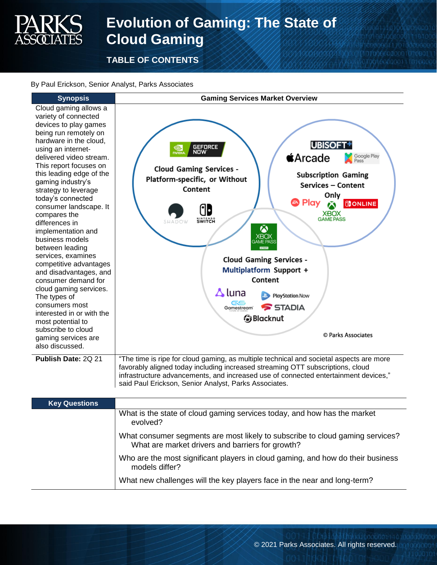# **Evolution of Gaming: The State of Cloud Gaming**

**TABLE OF CONTENTS**

#### By Paul Erickson, Senior Analyst, Parks Associates



| <b>Key Questions</b> |                                                                                                                                   |
|----------------------|-----------------------------------------------------------------------------------------------------------------------------------|
|                      | What is the state of cloud gaming services today, and how has the market<br>evolved?                                              |
|                      | What consumer segments are most likely to subscribe to cloud gaming services?<br>What are market drivers and barriers for growth? |
|                      | Who are the most significant players in cloud gaming, and how do their business<br>models differ?                                 |
|                      | What new challenges will the key players face in the near and long-term?                                                          |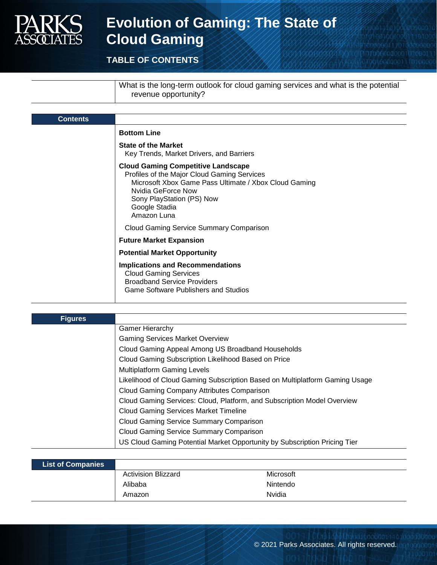

## **Evolution of Gaming: The State of Cloud Gaming**

### **TABLE OF CONTENTS**

What is the long-term outlook for cloud gaming services and what is the potential revenue opportunity?

| <b>Contents</b> |                                                                                                                                                                                                                                      |
|-----------------|--------------------------------------------------------------------------------------------------------------------------------------------------------------------------------------------------------------------------------------|
|                 | <b>Bottom Line</b>                                                                                                                                                                                                                   |
|                 | <b>State of the Market</b><br>Key Trends, Market Drivers, and Barriers                                                                                                                                                               |
|                 | <b>Cloud Gaming Competitive Landscape</b><br>Profiles of the Major Cloud Gaming Services<br>Microsoft Xbox Game Pass Ultimate / Xbox Cloud Gaming<br>Nvidia GeForce Now<br>Sony PlayStation (PS) Now<br>Google Stadia<br>Amazon Luna |
|                 | <b>Cloud Gaming Service Summary Comparison</b>                                                                                                                                                                                       |
|                 | <b>Future Market Expansion</b>                                                                                                                                                                                                       |
|                 | <b>Potential Market Opportunity</b>                                                                                                                                                                                                  |
|                 | <b>Implications and Recommendations</b><br><b>Cloud Gaming Services</b><br><b>Broadband Service Providers</b><br><b>Game Software Publishers and Studios</b>                                                                         |

| <b>Figures</b> |                                                                             |
|----------------|-----------------------------------------------------------------------------|
|                | <b>Gamer Hierarchy</b>                                                      |
|                | <b>Gaming Services Market Overview</b>                                      |
|                | Cloud Gaming Appeal Among US Broadband Households                           |
|                | Cloud Gaming Subscription Likelihood Based on Price                         |
|                | <b>Multiplatform Gaming Levels</b>                                          |
|                | Likelihood of Cloud Gaming Subscription Based on Multiplatform Gaming Usage |
|                | Cloud Gaming Company Attributes Comparison                                  |
|                | Cloud Gaming Services: Cloud, Platform, and Subscription Model Overview     |
|                | <b>Cloud Gaming Services Market Timeline</b>                                |
|                | <b>Cloud Gaming Service Summary Comparison</b>                              |
|                | <b>Cloud Gaming Service Summary Comparison</b>                              |
|                | US Cloud Gaming Potential Market Opportunity by Subscription Pricing Tier   |

| <b>List of Companies</b> |                            |           |
|--------------------------|----------------------------|-----------|
|                          | <b>Activision Blizzard</b> | Microsoft |
|                          | Alibaba                    | Nintendo  |
|                          | Amazon                     | Nvidia    |